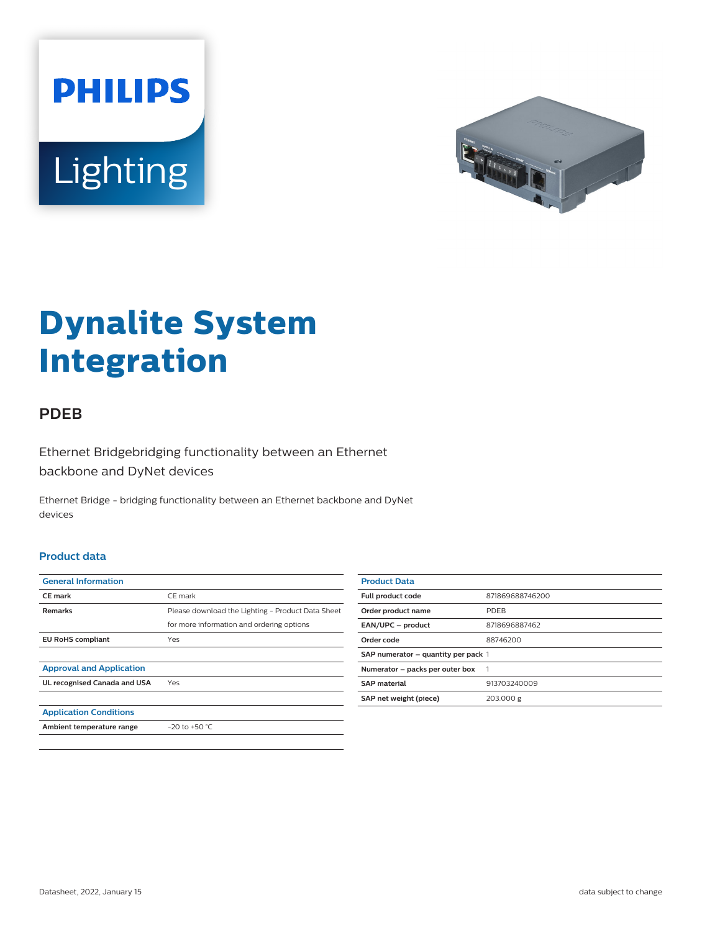



# **Dynalite System Integration**

## **PDEB**

Ethernet Bridgebridging functionality between an Ethernet backbone and DyNet devices

Ethernet Bridge - bridging functionality between an Ethernet backbone and DyNet devices

#### **Product data**

| <b>General Information</b>      |                                                   |
|---------------------------------|---------------------------------------------------|
| <b>CE</b> mark                  | CE mark                                           |
| <b>Remarks</b>                  | Please download the Lighting - Product Data Sheet |
|                                 | for more information and ordering options         |
| <b>EU RoHS compliant</b>        | Yes                                               |
|                                 |                                                   |
| <b>Approval and Application</b> |                                                   |
| UL recognised Canada and USA    | Yes                                               |
|                                 |                                                   |
| <b>Application Conditions</b>   |                                                   |
| Ambient temperature range       | $-20$ to $+50$ °C.                                |
|                                 |                                                   |

| <b>Product Data</b>                 |                 |
|-------------------------------------|-----------------|
| Full product code                   | 871869688746200 |
| Order product name                  | <b>PDFB</b>     |
| EAN/UPC - product                   | 8718696887462   |
| Order code                          | 88746200        |
| SAP numerator - quantity per pack 1 |                 |
| Numerator - packs per outer box     |                 |
| <b>SAP</b> material                 | 913703240009    |
| SAP net weight (piece)              | 203.000 g       |
|                                     |                 |